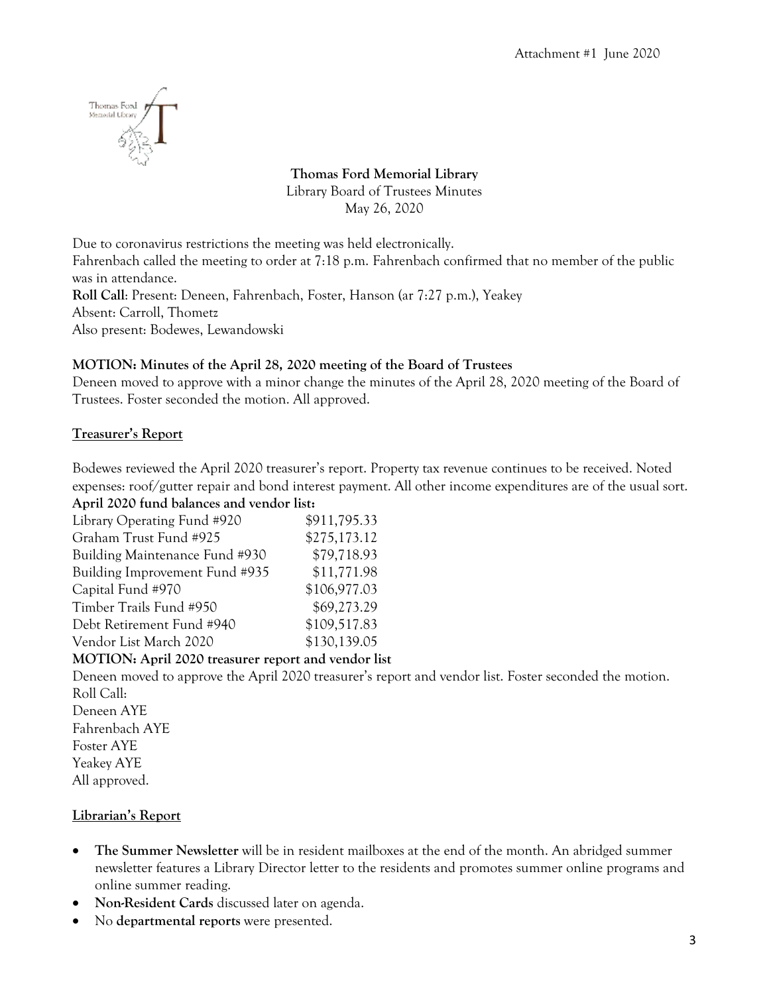

# **Thomas Ford Memorial Library** Library Board of Trustees Minutes May 26, 2020

Due to coronavirus restrictions the meeting was held electronically.

Fahrenbach called the meeting to order at 7:18 p.m. Fahrenbach confirmed that no member of the public was in attendance.

**Roll Call**: Present: Deneen, Fahrenbach, Foster, Hanson (ar 7:27 p.m.), Yeakey Absent: Carroll, Thometz Also present: Bodewes, Lewandowski

## **MOTION: Minutes of the April 28, 2020 meeting of the Board of Trustees**

Deneen moved to approve with a minor change the minutes of the April 28, 2020 meeting of the Board of Trustees. Foster seconded the motion. All approved.

## **Treasurer's Report**

Bodewes reviewed the April 2020 treasurer's report. Property tax revenue continues to be received. Noted expenses: roof/gutter repair and bond interest payment. All other income expenditures are of the usual sort. **April 2020 fund balances and vendor list:**

| Library Operating Fund #920                         | \$911,795.33 |
|-----------------------------------------------------|--------------|
| Graham Trust Fund #925                              | \$275,173.12 |
| Building Maintenance Fund #930                      | \$79,718.93  |
| Building Improvement Fund #935                      | \$11,771.98  |
| Capital Fund #970                                   | \$106,977.03 |
| Timber Trails Fund #950                             | \$69,273.29  |
| Debt Retirement Fund #940                           | \$109,517.83 |
| Vendor List March 2020                              | \$130,139.05 |
| MOTION: April 2020 treasurer report and vendor list |              |
|                                                     |              |

Deneen moved to approve the April 2020 treasurer's report and vendor list. Foster seconded the motion. Roll Call: Deneen AYE Fahrenbach AYE Foster AYE Yeakey AYE All approved.

## **Librarian's Report**

- **The Summer Newsletter** will be in resident mailboxes at the end of the month. An abridged summer newsletter features a Library Director letter to the residents and promotes summer online programs and online summer reading.
- **Non-Resident Cards** discussed later on agenda.
- No **departmental reports** were presented.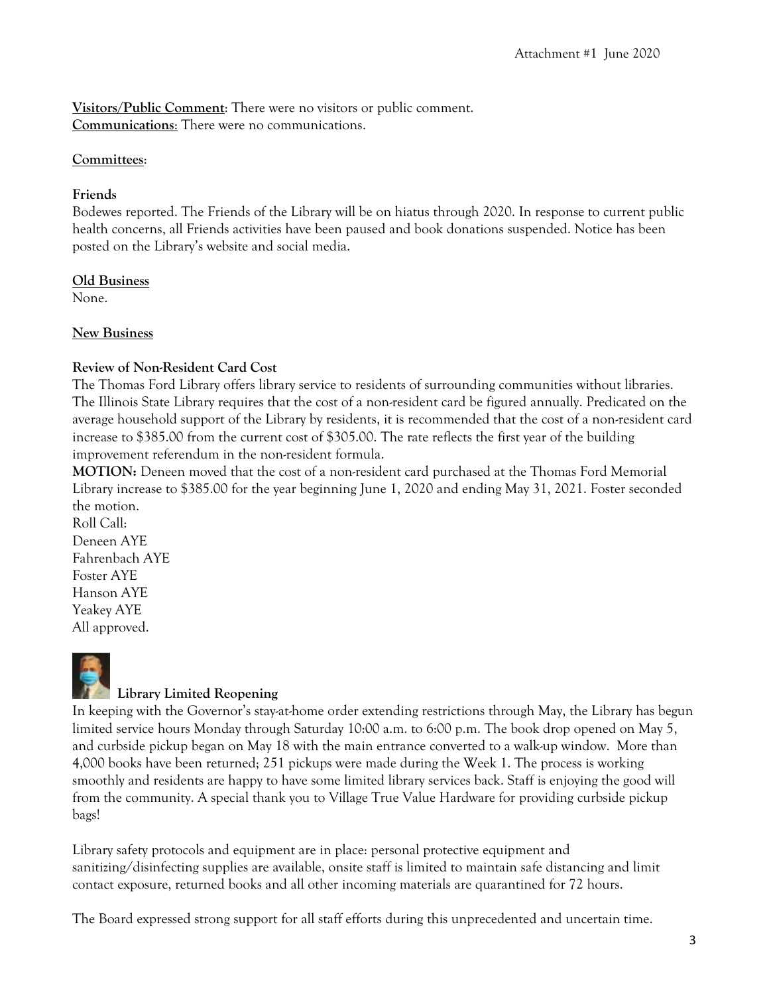**Visitors/Public Comment**: There were no visitors or public comment. **Communications**: There were no communications.

#### **Committees**:

#### **Friends**

Bodewes reported. The Friends of the Library will be on hiatus through 2020. In response to current public health concerns, all Friends activities have been paused and book donations suspended. Notice has been posted on the Library's website and social media.

## **Old Business**

None.

#### **New Business**

#### **Review of Non-Resident Card Cost**

The Thomas Ford Library offers library service to residents of surrounding communities without libraries. The Illinois State Library requires that the cost of a non-resident card be figured annually. Predicated on the average household support of the Library by residents, it is recommended that the cost of a non-resident card increase to \$385.00 from the current cost of \$305.00. The rate reflects the first year of the building improvement referendum in the non-resident formula.

**MOTION:** Deneen moved that the cost of a non-resident card purchased at the Thomas Ford Memorial Library increase to \$385.00 for the year beginning June 1, 2020 and ending May 31, 2021. Foster seconded the motion.

Roll Call: Deneen AYE Fahrenbach AYE Foster AYE Hanson AYE Yeakey AYE All approved.



# **Library Limited Reopening**

In keeping with the Governor's stay-at-home order extending restrictions through May, the Library has begun limited service hours Monday through Saturday 10:00 a.m. to 6:00 p.m. The book drop opened on May 5, and curbside pickup began on May 18 with the main entrance converted to a walk-up window. More than 4,000 books have been returned; 251 pickups were made during the Week 1. The process is working smoothly and residents are happy to have some limited library services back. Staff is enjoying the good will from the community. A special thank you to Village True Value Hardware for providing curbside pickup bags!

Library safety protocols and equipment are in place: personal protective equipment and sanitizing/disinfecting supplies are available, onsite staff is limited to maintain safe distancing and limit contact exposure, returned books and all other incoming materials are quarantined for 72 hours.

The Board expressed strong support for all staff efforts during this unprecedented and uncertain time.